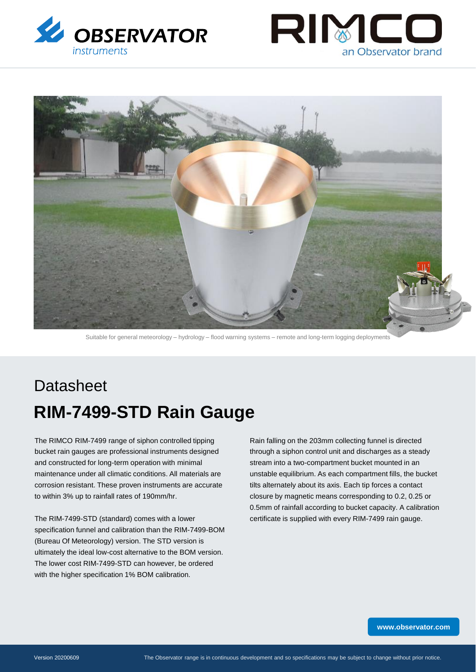





Suitable for general meteorology – hydrology – flood warning systems – remote and long-term logging deployments

# **Datasheet RIM-7499-STD Rain Gauge**

The RIMCO RIM-7499 range of siphon controlled tipping bucket rain gauges are professional instruments designed and constructed for long-term operation with minimal maintenance under all climatic conditions. All materials are corrosion resistant. These proven instruments are accurate to within 3% up to rainfall rates of 190mm/hr.

The RIM-7499-STD (standard) comes with a lower specification funnel and calibration than the RIM-7499-BOM (Bureau Of Meteorology) version. The STD version is ultimately the ideal low-cost alternative to the BOM version. The lower cost RIM-7499-STD can however, be ordered with the higher specification 1% BOM calibration.

Rain falling on the 203mm collecting funnel is directed through a siphon control unit and discharges as a steady stream into a two-compartment bucket mounted in an unstable equilibrium. As each compartment fills, the bucket tilts alternately about its axis. Each tip forces a contact closure by magnetic means corresponding to 0.2, 0.25 or 0.5mm of rainfall according to bucket capacity. A calibration certificate is supplied with every RIM-7499 rain gauge.

**[www.observator.com](http://www.observator.com/)**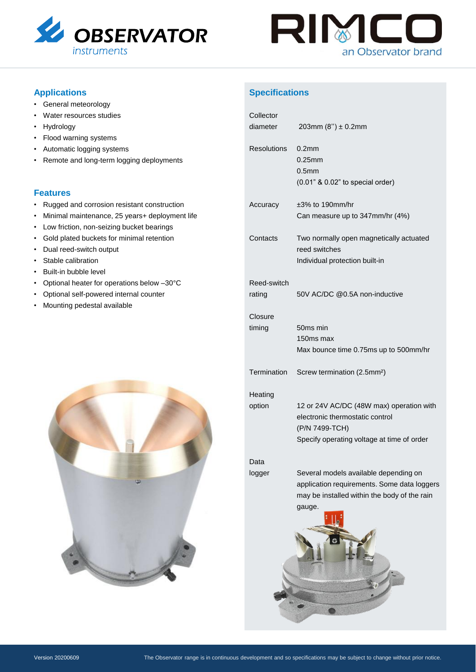



# **Applications**

- General meteorology
- Water resources studies
- Hydrology
- Flood warning systems
- Automatic logging systems
- Remote and long-term logging deployments

### **Features**

- Rugged and corrosion resistant construction
- Minimal maintenance, 25 years+ deployment life
- Low friction, non-seizing bucket bearings
- Gold plated buckets for minimal retention
- Dual reed-switch output
- Stable calibration
- Built-in bubble level
- Optional heater for operations below –30°C
- Optional self-powered internal counter
- Mounting pedestal available

## **Specifications**

| Collector<br>diameter | 203mm $(8") \pm 0.2$ mm                                                                                                                        |
|-----------------------|------------------------------------------------------------------------------------------------------------------------------------------------|
| <b>Resolutions</b>    | $0.2$ mm<br>$0.25$ mm<br>0.5 <sub>mm</sub><br>(0.01" & 0.02" to special order)                                                                 |
| Accuracy              | $\pm 3\%$ to 190mm/hr<br>Can measure up to 347mm/hr (4%)                                                                                       |
| Contacts              | Two normally open magnetically actuated<br>reed switches<br>Individual protection built-in                                                     |
| Reed-switch<br>rating | 50V AC/DC @0.5A non-inductive                                                                                                                  |
| Closure<br>timing     | 50ms min<br>150ms max<br>Max bounce time 0.75ms up to 500mm/hr                                                                                 |
| Termination           | Screw termination (2.5mm <sup>2</sup> )                                                                                                        |
| Heating<br>option     | 12 or 24V AC/DC (48W max) operation with<br>electronic thermostatic control<br>(P/N 7499-TCH)<br>Specify operating voltage at time of order    |
| Data                  |                                                                                                                                                |
| logger                | Several models available depending on<br>application requirements. Some data loggers<br>may be installed within the body of the rain<br>gauge. |
|                       |                                                                                                                                                |